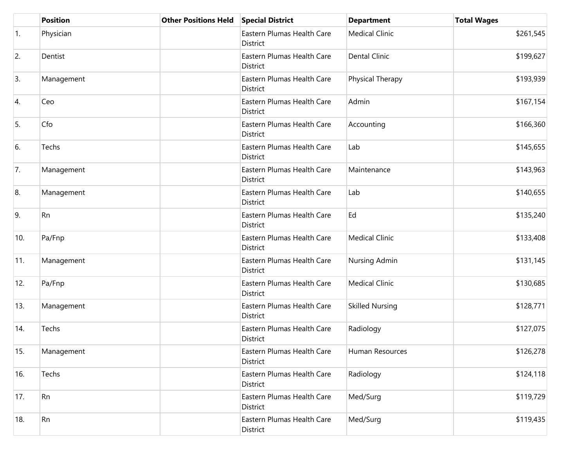|                  | <b>Position</b> | <b>Other Positions Held</b> | <b>Special District</b>                | <b>Department</b>      | <b>Total Wages</b> |
|------------------|-----------------|-----------------------------|----------------------------------------|------------------------|--------------------|
| $\overline{1}$ . | Physician       |                             | Eastern Plumas Health Care<br>District | <b>Medical Clinic</b>  | \$261,545          |
| 2.               | Dentist         |                             | Eastern Plumas Health Care<br>District | <b>Dental Clinic</b>   | \$199,627          |
| 3.               | Management      |                             | Eastern Plumas Health Care<br>District | Physical Therapy       | \$193,939          |
| 4.               | Ceo             |                             | Eastern Plumas Health Care<br>District | Admin                  | \$167,154          |
| 5.               | Cfo             |                             | Eastern Plumas Health Care<br>District | Accounting             | \$166,360          |
| 6.               | Techs           |                             | Eastern Plumas Health Care<br>District | Lab                    | \$145,655          |
| 7.               | Management      |                             | Eastern Plumas Health Care<br>District | Maintenance            | \$143,963          |
| 8.               | Management      |                             | Eastern Plumas Health Care<br>District | Lab                    | \$140,655          |
| 9.               | Rn              |                             | Eastern Plumas Health Care<br>District | Ed                     | \$135,240          |
| 10.              | Pa/Fnp          |                             | Eastern Plumas Health Care<br>District | <b>Medical Clinic</b>  | \$133,408          |
| 11.              | Management      |                             | Eastern Plumas Health Care<br>District | Nursing Admin          | \$131,145          |
| 12.              | Pa/Fnp          |                             | Eastern Plumas Health Care<br>District | <b>Medical Clinic</b>  | \$130,685          |
| 13.              | Management      |                             | Eastern Plumas Health Care<br>District | <b>Skilled Nursing</b> | \$128,771          |
| 14.              | Techs           |                             | Eastern Plumas Health Care<br>District | Radiology              | \$127,075          |
| 15.              | Management      |                             | Eastern Plumas Health Care<br>District | Human Resources        | \$126,278          |
| 16.              | Techs           |                             | Eastern Plumas Health Care<br>District | Radiology              | \$124,118          |
| 17.              | Rn              |                             | Eastern Plumas Health Care<br>District | Med/Surg               | \$119,729          |
| 18.              | Rn              |                             | Eastern Plumas Health Care<br>District | Med/Surg               | \$119,435          |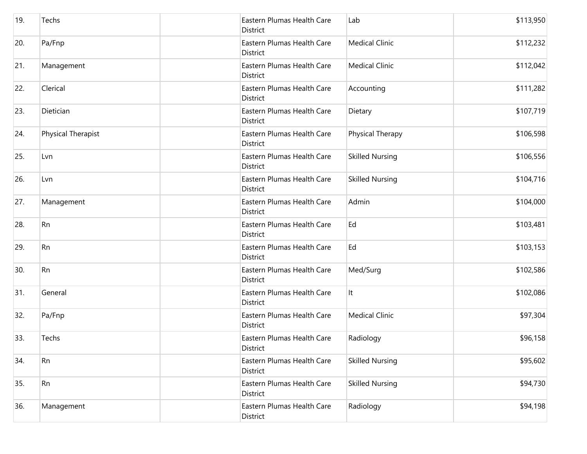| 19. | Techs              | Eastern Plumas Health Care<br>District | Lab                    | \$113,950 |
|-----|--------------------|----------------------------------------|------------------------|-----------|
| 20. | Pa/Fnp             | Eastern Plumas Health Care<br>District | <b>Medical Clinic</b>  | \$112,232 |
| 21. | Management         | Eastern Plumas Health Care<br>District | <b>Medical Clinic</b>  | \$112,042 |
| 22. | Clerical           | Eastern Plumas Health Care<br>District | Accounting             | \$111,282 |
| 23. | Dietician          | Eastern Plumas Health Care<br>District | Dietary                | \$107,719 |
| 24. | Physical Therapist | Eastern Plumas Health Care<br>District | Physical Therapy       | \$106,598 |
| 25. | Lvn                | Eastern Plumas Health Care<br>District | <b>Skilled Nursing</b> | \$106,556 |
| 26. | Lvn                | Eastern Plumas Health Care<br>District | <b>Skilled Nursing</b> | \$104,716 |
| 27. | Management         | Eastern Plumas Health Care<br>District | Admin                  | \$104,000 |
| 28. | Rn                 | Eastern Plumas Health Care<br>District | Ed                     | \$103,481 |
| 29. | Rn                 | Eastern Plumas Health Care<br>District | Ed                     | \$103,153 |
| 30. | Rn                 | Eastern Plumas Health Care<br>District | Med/Surg               | \$102,586 |
| 31. | General            | Eastern Plumas Health Care<br>District | It                     | \$102,086 |
| 32. | Pa/Fnp             | Eastern Plumas Health Care<br>District | <b>Medical Clinic</b>  | \$97,304  |
| 33. | Techs              | Eastern Plumas Health Care<br>District | Radiology              | \$96,158  |
| 34. | <b>Rn</b>          | Eastern Plumas Health Care<br>District | <b>Skilled Nursing</b> | \$95,602  |
| 35. | Rn                 | Eastern Plumas Health Care<br>District | <b>Skilled Nursing</b> | \$94,730  |
| 36. | Management         | Eastern Plumas Health Care<br>District | Radiology              | \$94,198  |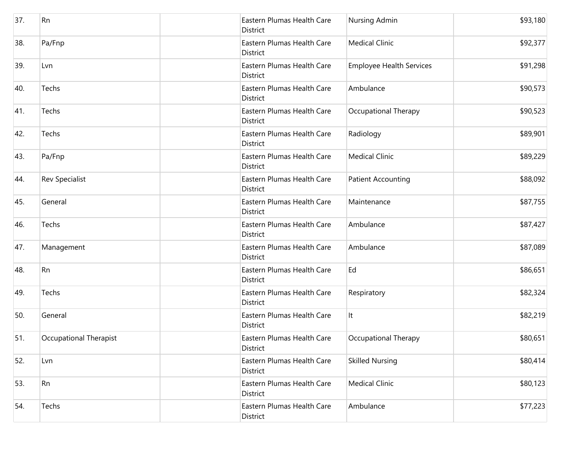| 37. | Rn                     | Eastern Plumas Health Care<br>District        | Nursing Admin                   | \$93,180 |
|-----|------------------------|-----------------------------------------------|---------------------------------|----------|
| 38. | Pa/Fnp                 | Eastern Plumas Health Care<br>District        | <b>Medical Clinic</b>           | \$92,377 |
| 39. | Lvn                    | Eastern Plumas Health Care<br>District        | <b>Employee Health Services</b> | \$91,298 |
| 40. | Techs                  | Eastern Plumas Health Care<br>District        | Ambulance                       | \$90,573 |
| 41. | Techs                  | Eastern Plumas Health Care<br>District        | Occupational Therapy            | \$90,523 |
| 42. | Techs                  | Eastern Plumas Health Care<br>District        | Radiology                       | \$89,901 |
| 43. | Pa/Fnp                 | Eastern Plumas Health Care<br><b>District</b> | <b>Medical Clinic</b>           | \$89,229 |
| 44. | <b>Rev Specialist</b>  | Eastern Plumas Health Care<br>District        | <b>Patient Accounting</b>       | \$88,092 |
| 45. | General                | Eastern Plumas Health Care<br>District        | Maintenance                     | \$87,755 |
| 46. | Techs                  | Eastern Plumas Health Care<br>District        | Ambulance                       | \$87,427 |
| 47. | Management             | Eastern Plumas Health Care<br>District        | Ambulance                       | \$87,089 |
| 48. | Rn                     | Eastern Plumas Health Care<br>District        | Ed                              | \$86,651 |
| 49. | Techs                  | Eastern Plumas Health Care<br>District        | Respiratory                     | \$82,324 |
| 50. | General                | Eastern Plumas Health Care<br>District        | It                              | \$82,219 |
| 51. | Occupational Therapist | Eastern Plumas Health Care<br>District        | Occupational Therapy            | \$80,651 |
| 52. | Lvn                    | Eastern Plumas Health Care<br>District        | <b>Skilled Nursing</b>          | \$80,414 |
| 53. | Rn                     | Eastern Plumas Health Care<br>District        | <b>Medical Clinic</b>           | \$80,123 |
| 54. | Techs                  | Eastern Plumas Health Care<br>District        | Ambulance                       | \$77,223 |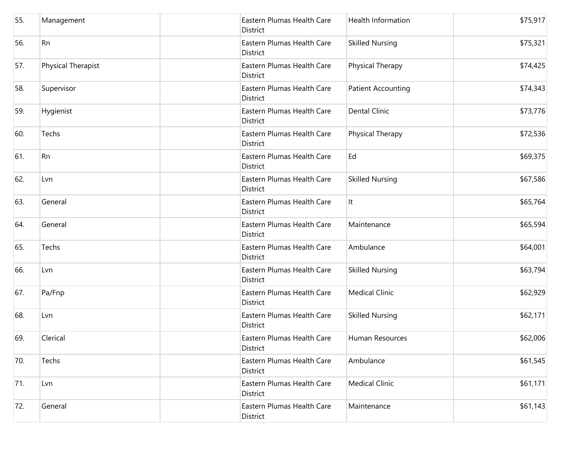| 55. | Management         | Eastern Plumas Health Care<br>District        | <b>Health Information</b> | \$75,917 |
|-----|--------------------|-----------------------------------------------|---------------------------|----------|
| 56. | Rn                 | Eastern Plumas Health Care<br><b>District</b> | <b>Skilled Nursing</b>    | \$75,321 |
| 57. | Physical Therapist | Eastern Plumas Health Care<br>District        | Physical Therapy          | \$74,425 |
| 58. | Supervisor         | Eastern Plumas Health Care<br><b>District</b> | <b>Patient Accounting</b> | \$74,343 |
| 59. | Hygienist          | Eastern Plumas Health Care<br>District        | <b>Dental Clinic</b>      | \$73,776 |
| 60. | Techs              | Eastern Plumas Health Care<br>District        | Physical Therapy          | \$72,536 |
| 61. | Rn                 | Eastern Plumas Health Care<br>District        | Ed                        | \$69,375 |
| 62. | Lvn                | Eastern Plumas Health Care<br>District        | <b>Skilled Nursing</b>    | \$67,586 |
| 63. | General            | Eastern Plumas Health Care<br><b>District</b> | It                        | \$65,764 |
| 64. | General            | Eastern Plumas Health Care<br>District        | Maintenance               | \$65,594 |
| 65. | Techs              | Eastern Plumas Health Care<br>District        | Ambulance                 | \$64,001 |
| 66. | Lvn                | Eastern Plumas Health Care<br>District        | <b>Skilled Nursing</b>    | \$63,794 |
| 67. | Pa/Fnp             | Eastern Plumas Health Care<br><b>District</b> | <b>Medical Clinic</b>     | \$62,929 |
| 68. | Lvn                | Eastern Plumas Health Care<br><b>District</b> | <b>Skilled Nursing</b>    | \$62,171 |
| 69. | Clerical           | Eastern Plumas Health Care<br>District        | Human Resources           | \$62,006 |
| 70. | Techs              | Eastern Plumas Health Care<br>District        | Ambulance                 | \$61,545 |
| 71. | Lvn                | Eastern Plumas Health Care<br>District        | <b>Medical Clinic</b>     | \$61,171 |
| 72. | General            | Eastern Plumas Health Care<br>District        | Maintenance               | \$61,143 |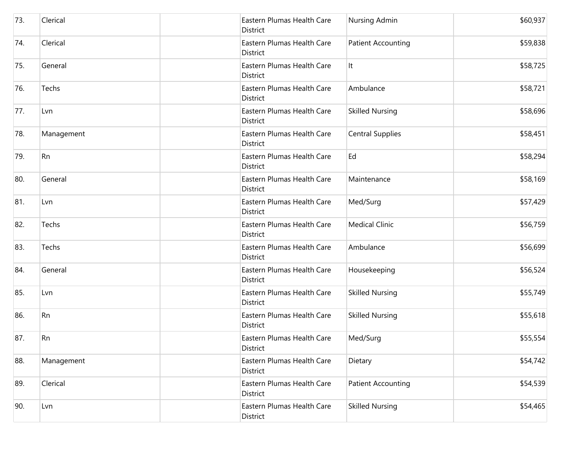| 73. | Clerical   | Eastern Plumas Health Care<br>District        | Nursing Admin             | \$60,937 |
|-----|------------|-----------------------------------------------|---------------------------|----------|
| 74. | Clerical   | Eastern Plumas Health Care<br>District        | <b>Patient Accounting</b> | \$59,838 |
| 75. | General    | Eastern Plumas Health Care<br>District        | It                        | \$58,725 |
| 76. | Techs      | Eastern Plumas Health Care<br>District        | Ambulance                 | \$58,721 |
| 77. | Lvn        | Eastern Plumas Health Care<br>District        | <b>Skilled Nursing</b>    | \$58,696 |
| 78. | Management | Eastern Plumas Health Care<br>District        | <b>Central Supplies</b>   | \$58,451 |
| 79. | Rn         | Eastern Plumas Health Care<br>District        | Ed                        | \$58,294 |
| 80. | General    | Eastern Plumas Health Care<br>District        | Maintenance               | \$58,169 |
| 81. | Lvn        | Eastern Plumas Health Care<br><b>District</b> | Med/Surg                  | \$57,429 |
| 82. | Techs      | Eastern Plumas Health Care<br>District        | <b>Medical Clinic</b>     | \$56,759 |
| 83. | Techs      | Eastern Plumas Health Care<br>District        | Ambulance                 | \$56,699 |
| 84. | General    | Eastern Plumas Health Care<br>District        | Housekeeping              | \$56,524 |
| 85. | Lvn        | Eastern Plumas Health Care<br>District        | <b>Skilled Nursing</b>    | \$55,749 |
| 86. | Rn         | Eastern Plumas Health Care<br>District        | <b>Skilled Nursing</b>    | \$55,618 |
| 87. | Rn         | Eastern Plumas Health Care<br>District        | Med/Surg                  | \$55,554 |
| 88. | Management | Eastern Plumas Health Care<br>District        | Dietary                   | \$54,742 |
| 89. | Clerical   | Eastern Plumas Health Care<br>District        | <b>Patient Accounting</b> | \$54,539 |
| 90. | Lvn        | Eastern Plumas Health Care<br>District        | <b>Skilled Nursing</b>    | \$54,465 |